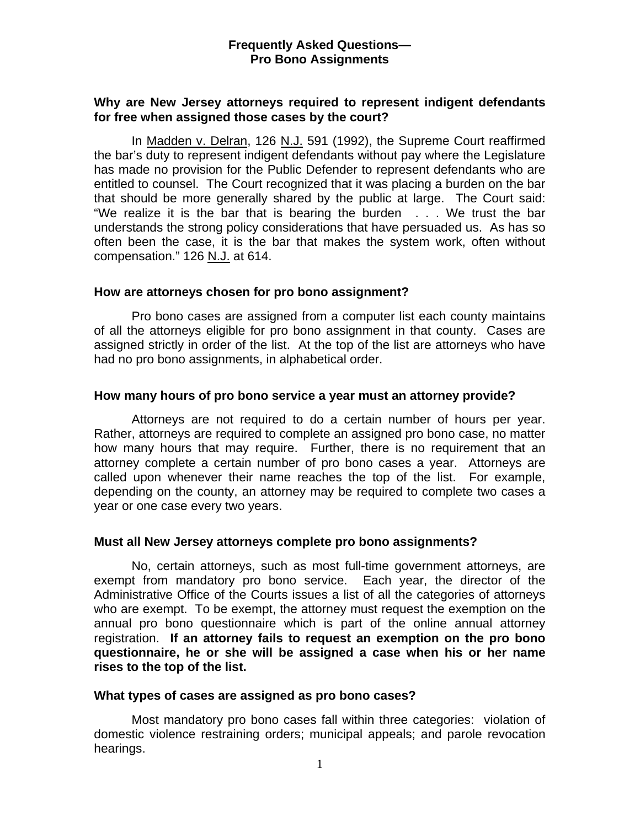### **Frequently Asked Questions— Pro Bono Assignments**

## **Why are New Jersey attorneys required to represent indigent defendants for free when assigned those cases by the court?**

 In Madden v. Delran, 126 N.J. 591 (1992), the Supreme Court reaffirmed the bar's duty to represent indigent defendants without pay where the Legislature has made no provision for the Public Defender to represent defendants who are entitled to counsel. The Court recognized that it was placing a burden on the bar that should be more generally shared by the public at large. The Court said: "We realize it is the bar that is bearing the burden . . . We trust the bar understands the strong policy considerations that have persuaded us. As has so often been the case, it is the bar that makes the system work, often without compensation." 126 N.J. at 614.

### **How are attorneys chosen for pro bono assignment?**

Pro bono cases are assigned from a computer list each county maintains of all the attorneys eligible for pro bono assignment in that county. Cases are assigned strictly in order of the list. At the top of the list are attorneys who have had no pro bono assignments, in alphabetical order.

### **How many hours of pro bono service a year must an attorney provide?**

Attorneys are not required to do a certain number of hours per year. Rather, attorneys are required to complete an assigned pro bono case, no matter how many hours that may require. Further, there is no requirement that an attorney complete a certain number of pro bono cases a year. Attorneys are called upon whenever their name reaches the top of the list. For example, depending on the county, an attorney may be required to complete two cases a year or one case every two years.

# **Must all New Jersey attorneys complete pro bono assignments?**

No, certain attorneys, such as most full-time government attorneys, are exempt from mandatory pro bono service. Each year, the director of the Administrative Office of the Courts issues a list of all the categories of attorneys who are exempt. To be exempt, the attorney must request the exemption on the annual pro bono questionnaire which is part of the online annual attorney registration. **If an attorney fails to request an exemption on the pro bono questionnaire, he or she will be assigned a case when his or her name rises to the top of the list.** 

#### **What types of cases are assigned as pro bono cases?**

Most mandatory pro bono cases fall within three categories: violation of domestic violence restraining orders; municipal appeals; and parole revocation hearings.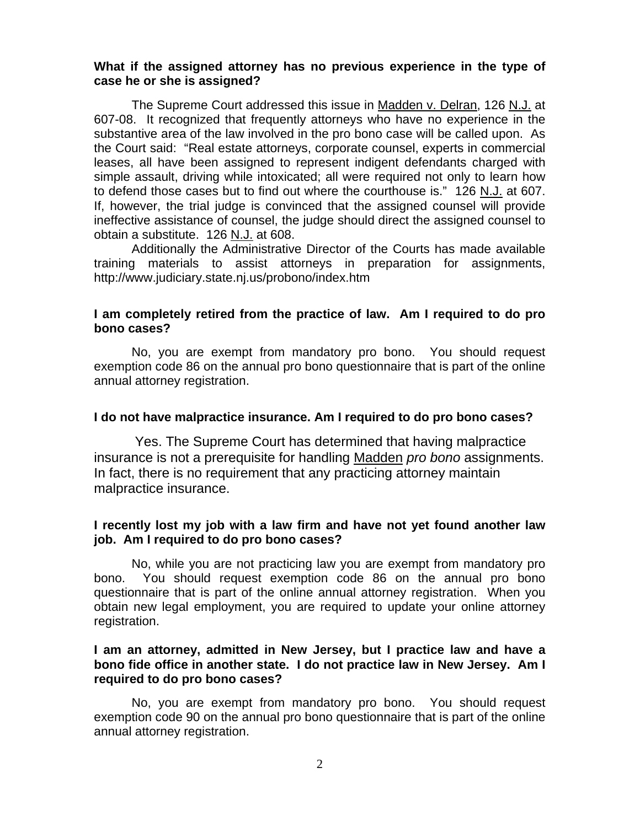### **What if the assigned attorney has no previous experience in the type of case he or she is assigned?**

The Supreme Court addressed this issue in Madden v. Delran, 126 N.J. at 607-08. It recognized that frequently attorneys who have no experience in the substantive area of the law involved in the pro bono case will be called upon. As the Court said: "Real estate attorneys, corporate counsel, experts in commercial leases, all have been assigned to represent indigent defendants charged with simple assault, driving while intoxicated; all were required not only to learn how to defend those cases but to find out where the courthouse is." 126 N.J. at 607. If, however, the trial judge is convinced that the assigned counsel will provide ineffective assistance of counsel, the judge should direct the assigned counsel to obtain a substitute. 126 N.J. at 608.

 Additionally the Administrative Director of the Courts has made available training materials to assist attorneys in preparation for assignments, http://www.judiciary.state.nj.us/probono/index.htm

# **I am completely retired from the practice of law. Am I required to do pro bono cases?**

No, you are exempt from mandatory pro bono. You should request exemption code 86 on the annual pro bono questionnaire that is part of the online annual attorney registration.

# **I do not have malpractice insurance. Am I required to do pro bono cases?**

Yes. The Supreme Court has determined that having malpractice insurance is not a prerequisite for handling Madden *pro bono* assignments. In fact, there is no requirement that any practicing attorney maintain malpractice insurance.

# **I recently lost my job with a law firm and have not yet found another law job. Am I required to do pro bono cases?**

No, while you are not practicing law you are exempt from mandatory pro bono. You should request exemption code 86 on the annual pro bono questionnaire that is part of the online annual attorney registration. When you obtain new legal employment, you are required to update your online attorney registration.

### **I am an attorney, admitted in New Jersey, but I practice law and have a bono fide office in another state. I do not practice law in New Jersey. Am I required to do pro bono cases?**

No, you are exempt from mandatory pro bono. You should request exemption code 90 on the annual pro bono questionnaire that is part of the online annual attorney registration.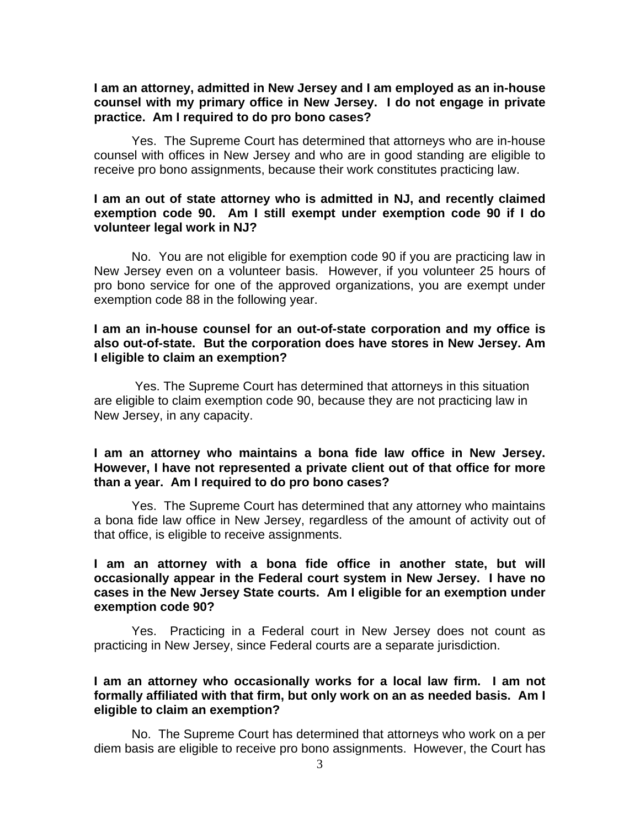#### **I am an attorney, admitted in New Jersey and I am employed as an in-house counsel with my primary office in New Jersey. I do not engage in private practice. Am I required to do pro bono cases?**

 Yes. The Supreme Court has determined that attorneys who are in-house counsel with offices in New Jersey and who are in good standing are eligible to receive pro bono assignments, because their work constitutes practicing law.

#### **I am an out of state attorney who is admitted in NJ, and recently claimed exemption code 90. Am I still exempt under exemption code 90 if I do volunteer legal work in NJ?**

No. You are not eligible for exemption code 90 if you are practicing law in New Jersey even on a volunteer basis. However, if you volunteer 25 hours of pro bono service for one of the approved organizations, you are exempt under exemption code 88 in the following year.

#### **I am an in-house counsel for an out-of-state corporation and my office is also out-of-state. But the corporation does have stores in New Jersey. Am I eligible to claim an exemption?**

Yes. The Supreme Court has determined that attorneys in this situation are eligible to claim exemption code 90, because they are not practicing law in New Jersey, in any capacity.

### **I am an attorney who maintains a bona fide law office in New Jersey. However, I have not represented a private client out of that office for more than a year. Am I required to do pro bono cases?**

Yes. The Supreme Court has determined that any attorney who maintains a bona fide law office in New Jersey, regardless of the amount of activity out of that office, is eligible to receive assignments.

## **I am an attorney with a bona fide office in another state, but will occasionally appear in the Federal court system in New Jersey. I have no cases in the New Jersey State courts. Am I eligible for an exemption under exemption code 90?**

Yes. Practicing in a Federal court in New Jersey does not count as practicing in New Jersey, since Federal courts are a separate jurisdiction.

#### **I am an attorney who occasionally works for a local law firm. I am not formally affiliated with that firm, but only work on an as needed basis. Am I eligible to claim an exemption?**

No. The Supreme Court has determined that attorneys who work on a per diem basis are eligible to receive pro bono assignments. However, the Court has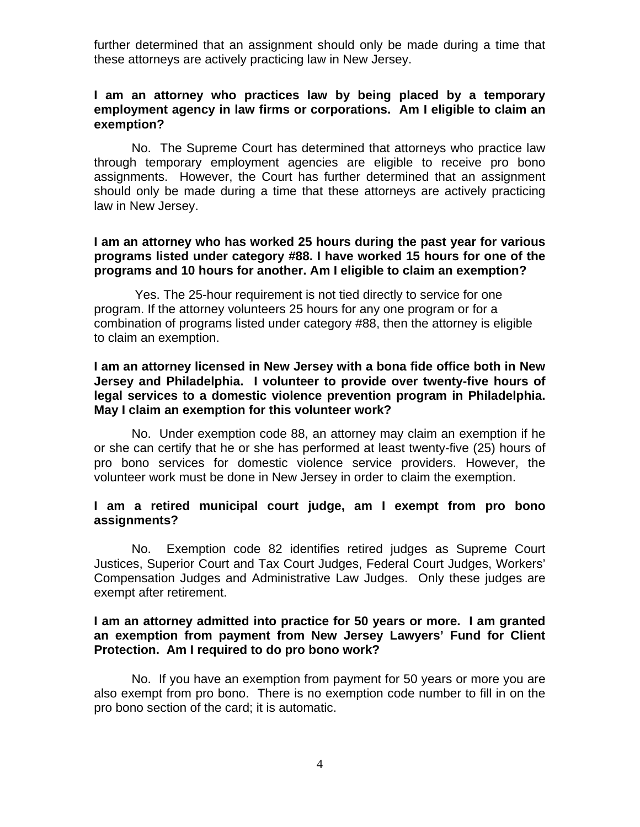further determined that an assignment should only be made during a time that these attorneys are actively practicing law in New Jersey.

### **I am an attorney who practices law by being placed by a temporary employment agency in law firms or corporations. Am I eligible to claim an exemption?**

No. The Supreme Court has determined that attorneys who practice law through temporary employment agencies are eligible to receive pro bono assignments. However, the Court has further determined that an assignment should only be made during a time that these attorneys are actively practicing law in New Jersey.

### **I am an attorney who has worked 25 hours during the past year for various programs listed under category #88. I have worked 15 hours for one of the programs and 10 hours for another. Am I eligible to claim an exemption?**

Yes. The 25-hour requirement is not tied directly to service for one program. If the attorney volunteers 25 hours for any one program or for a combination of programs listed under category #88, then the attorney is eligible to claim an exemption.

#### **I am an attorney licensed in New Jersey with a bona fide office both in New Jersey and Philadelphia. I volunteer to provide over twenty-five hours of legal services to a domestic violence prevention program in Philadelphia. May I claim an exemption for this volunteer work?**

No. Under exemption code 88, an attorney may claim an exemption if he or she can certify that he or she has performed at least twenty-five (25) hours of pro bono services for domestic violence service providers. However, the volunteer work must be done in New Jersey in order to claim the exemption.

#### **I am a retired municipal court judge, am I exempt from pro bono assignments?**

No. Exemption code 82 identifies retired judges as Supreme Court Justices, Superior Court and Tax Court Judges, Federal Court Judges, Workers' Compensation Judges and Administrative Law Judges. Only these judges are exempt after retirement.

### **I am an attorney admitted into practice for 50 years or more. I am granted an exemption from payment from New Jersey Lawyers' Fund for Client Protection. Am I required to do pro bono work?**

 No. If you have an exemption from payment for 50 years or more you are also exempt from pro bono. There is no exemption code number to fill in on the pro bono section of the card; it is automatic.